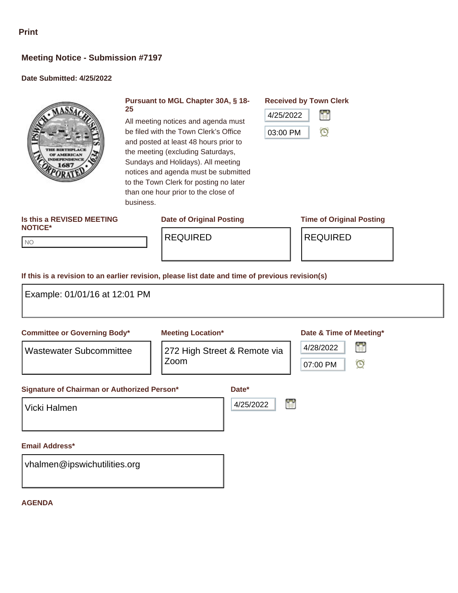# **Meeting Notice - Submission #7197**

### **Date Submitted: 4/25/2022**



#### **Pursuant to MGL Chapter 30A, § 18- 25**

All meeting notices and agenda must be filed with the Town Clerk's Office and posted at least 48 hours prior to the meeting (excluding Saturdays, Sundays and Holidays). All meeting notices and agenda must be submitted to the Town Clerk for posting no later than one hour prior to the close of

**Received by Town Clerk**



#### **Is this a REVISED MEETING NOTICE\***

NO NO

REQUIRED REQUIRED

## **Date of Original Posting Time of Original Posting**

**If this is a revision to an earlier revision, please list date and time of previous revision(s)**

business.

| Example: 01/01/16 at 12:01 PM                                         |                                                                  |                    |                                                                  |
|-----------------------------------------------------------------------|------------------------------------------------------------------|--------------------|------------------------------------------------------------------|
| <b>Committee or Governing Body*</b><br><b>Wastewater Subcommittee</b> | <b>Meeting Location*</b><br>272 High Street & Remote via<br>Zoom |                    | Date & Time of Meeting*<br>鲁<br>4/28/2022<br>$\odot$<br>07:00 PM |
| Signature of Chairman or Authorized Person*<br>Vicki Halmen           |                                                                  | Date*<br>4/25/2022 | Ľ                                                                |
| <b>Email Address*</b><br>vhalmen@ipswichutilities.org                 |                                                                  |                    |                                                                  |

#### **AGENDA**